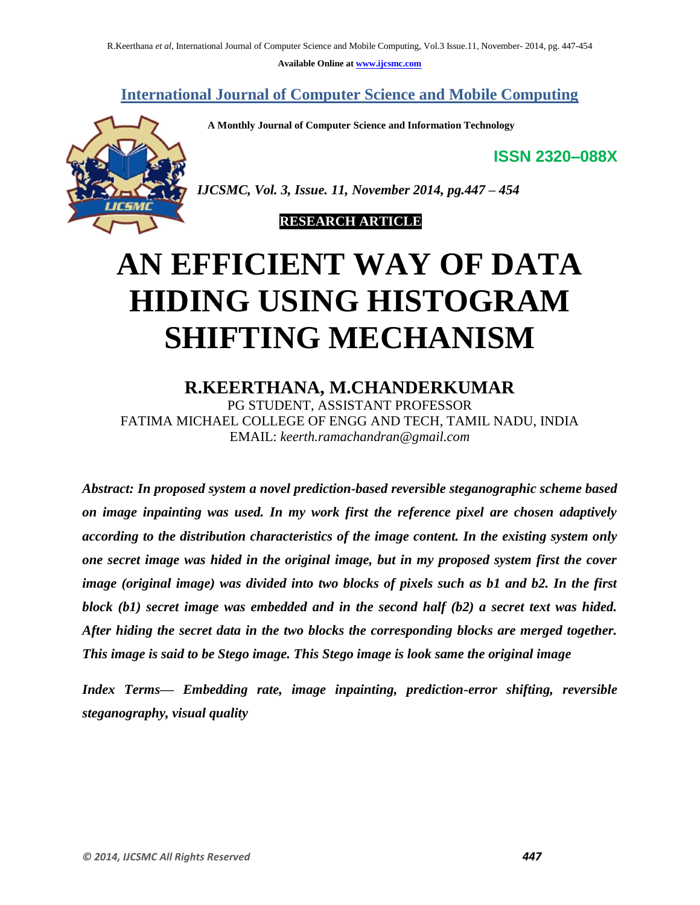**Available Online at www.ijcsmc.com**

**International Journal of Computer Science and Mobile Computing**

 **A Monthly Journal of Computer Science and Information Technology**

**ISSN 2320–088X**



*IJCSMC, Vol. 3, Issue. 11, November 2014, pg.447 – 454*

#### **RESEARCH ARTICLE**

# **AN EFFICIENT WAY OF DATA HIDING USING HISTOGRAM SHIFTING MECHANISM**

### **R.KEERTHANA, M.CHANDERKUMAR**

PG STUDENT, ASSISTANT PROFESSOR FATIMA MICHAEL COLLEGE OF ENGG AND TECH, TAMIL NADU, INDIA EMAIL: *keerth.ramachandran@gmail.com*

*Abstract: In proposed system a novel prediction-based reversible steganographic scheme based on image inpainting was used. In my work first the reference pixel are chosen adaptively according to the distribution characteristics of the image content. In the existing system only one secret image was hided in the original image, but in my proposed system first the cover image (original image) was divided into two blocks of pixels such as b1 and b2. In the first block (b1) secret image was embedded and in the second half (b2) a secret text was hided. After hiding the secret data in the two blocks the corresponding blocks are merged together. This image is said to be Stego image. This Stego image is look same the original image*

*Index Terms— Embedding rate, image inpainting, prediction-error shifting, reversible steganography, visual quality*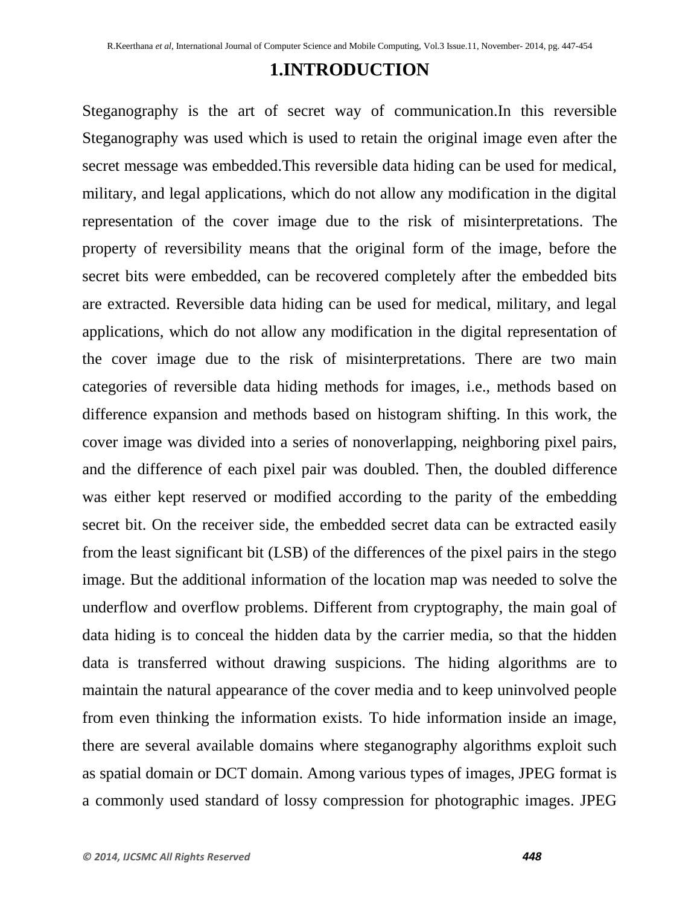# **1.INTRODUCTION**

Steganography is the art of secret way of communication.In this reversible Steganography was used which is used to retain the original image even after the secret message was embedded.This reversible data hiding can be used for medical, military, and legal applications, which do not allow any modification in the digital representation of the cover image due to the risk of misinterpretations. The property of reversibility means that the original form of the image, before the secret bits were embedded, can be recovered completely after the embedded bits are extracted. Reversible data hiding can be used for medical, military, and legal applications, which do not allow any modification in the digital representation of the cover image due to the risk of misinterpretations. There are two main categories of reversible data hiding methods for images, i.e., methods based on difference expansion and methods based on histogram shifting. In this work, the cover image was divided into a series of nonoverlapping, neighboring pixel pairs, and the difference of each pixel pair was doubled. Then, the doubled difference was either kept reserved or modified according to the parity of the embedding secret bit. On the receiver side, the embedded secret data can be extracted easily from the least significant bit (LSB) of the differences of the pixel pairs in the stego image. But the additional information of the location map was needed to solve the underflow and overflow problems. Different from cryptography, the main goal of data hiding is to conceal the hidden data by the carrier media, so that the hidden data is transferred without drawing suspicions. The hiding algorithms are to maintain the natural appearance of the cover media and to keep uninvolved people from even thinking the information exists. To hide information inside an image, there are several available domains where steganography algorithms exploit such as spatial domain or DCT domain. Among various types of images, JPEG format is a commonly used standard of lossy compression for photographic images. JPEG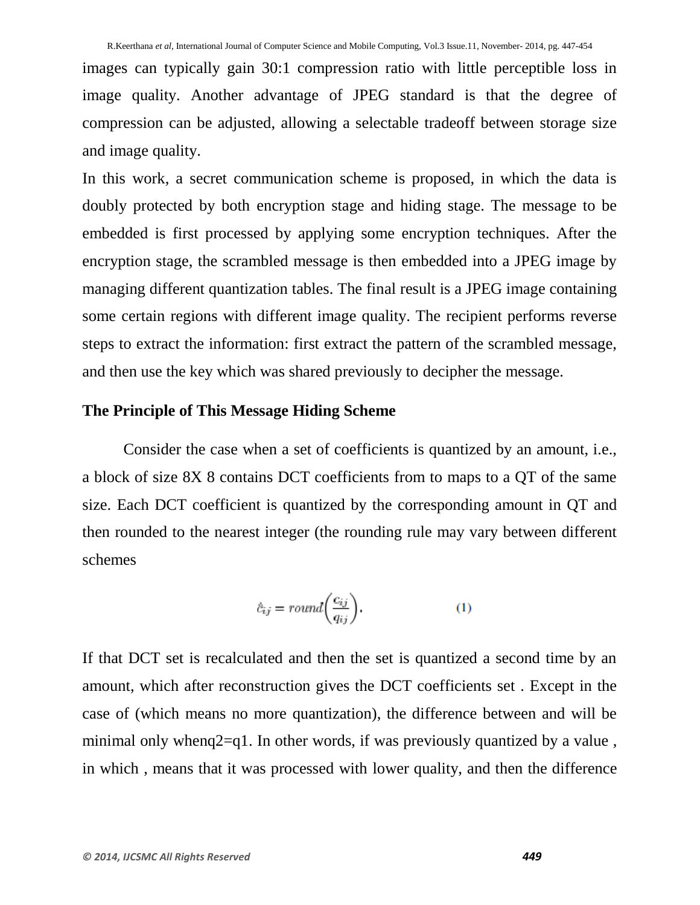images can typically gain 30:1 compression ratio with little perceptible loss in image quality. Another advantage of JPEG standard is that the degree of compression can be adjusted, allowing a selectable tradeoff between storage size and image quality.

In this work, a secret communication scheme is proposed, in which the data is doubly protected by both encryption stage and hiding stage. The message to be embedded is first processed by applying some encryption techniques. After the encryption stage, the scrambled message is then embedded into a JPEG image by managing different quantization tables. The final result is a JPEG image containing some certain regions with different image quality. The recipient performs reverse steps to extract the information: first extract the pattern of the scrambled message, and then use the key which was shared previously to decipher the message.

#### **The Principle of This Message Hiding Scheme**

Consider the case when a set of coefficients is quantized by an amount, i.e., a block of size 8X 8 contains DCT coefficients from to maps to a QT of the same size. Each DCT coefficient is quantized by the corresponding amount in QT and then rounded to the nearest integer (the rounding rule may vary between different schemes

$$
\hat{c}_{ij} = round\bigg(\frac{c_{ij}}{q_{ij}}\bigg). \tag{1}
$$

If that DCT set is recalculated and then the set is quantized a second time by an amount, which after reconstruction gives the DCT coefficients set . Except in the case of (which means no more quantization), the difference between and will be minimal only wheng $2=q1$ . In other words, if was previously quantized by a value, in which , means that it was processed with lower quality, and then the difference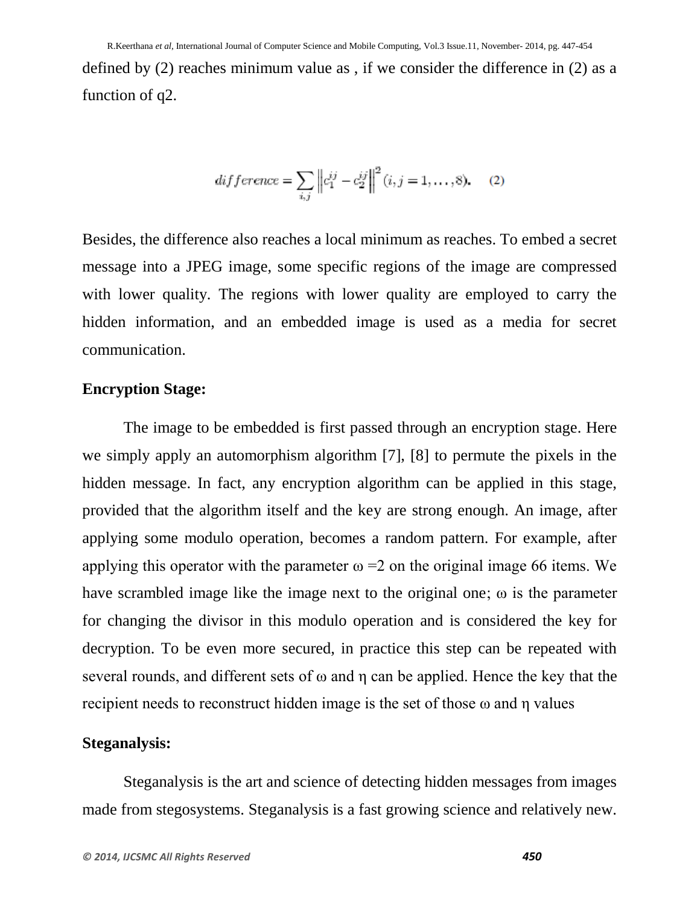defined by (2) reaches minimum value as , if we consider the difference in (2) as a function of q2.

$$
difference = \sum_{i,j} \left\| c_1^{ij} - c_2^{ij} \right\|^2 (i, j = 1, ..., 8).
$$
 (2)

Besides, the difference also reaches a local minimum as reaches. To embed a secret message into a JPEG image, some specific regions of the image are compressed with lower quality. The regions with lower quality are employed to carry the hidden information, and an embedded image is used as a media for secret communication.

#### **Encryption Stage:**

The image to be embedded is first passed through an encryption stage. Here we simply apply an automorphism algorithm [7], [8] to permute the pixels in the hidden message. In fact, any encryption algorithm can be applied in this stage, provided that the algorithm itself and the key are strong enough. An image, after applying some modulo operation, becomes a random pattern. For example, after applying this operator with the parameter  $\omega = 2$  on the original image 66 items. We have scrambled image like the image next to the original one; ω is the parameter for changing the divisor in this modulo operation and is considered the key for decryption. To be even more secured, in practice this step can be repeated with several rounds, and different sets of  $\omega$  and  $\eta$  can be applied. Hence the key that the recipient needs to reconstruct hidden image is the set of those ω and η values

#### **Steganalysis:**

Steganalysis is the art and science of detecting hidden messages from images made from stegosystems. Steganalysis is a fast growing science and relatively new.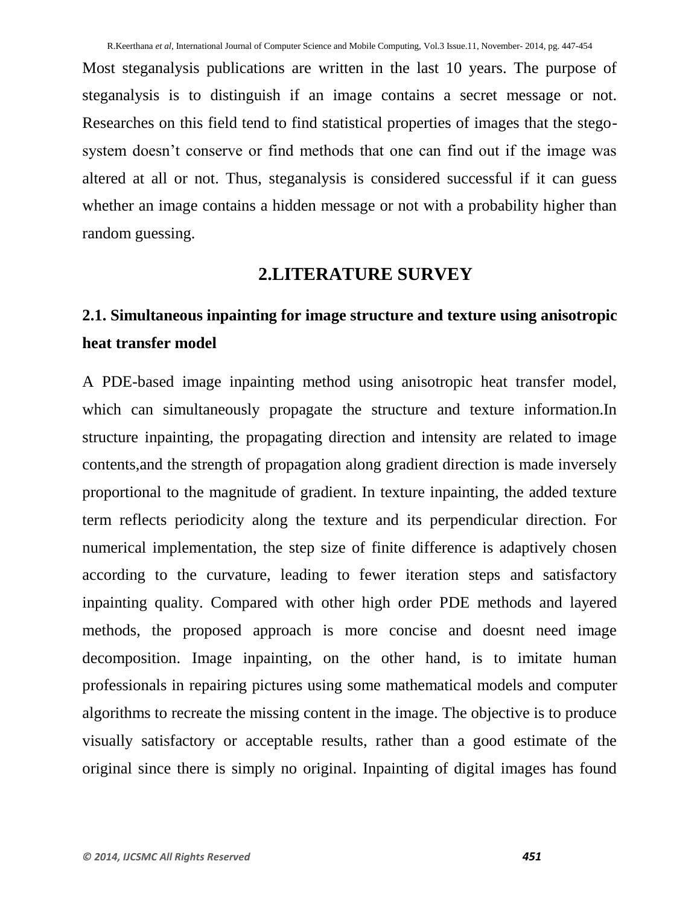Most steganalysis publications are written in the last 10 years. The purpose of steganalysis is to distinguish if an image contains a secret message or not. Researches on this field tend to find statistical properties of images that the stegosystem doesn't conserve or find methods that one can find out if the image was altered at all or not. Thus, steganalysis is considered successful if it can guess whether an image contains a hidden message or not with a probability higher than random guessing.

## **2.LITERATURE SURVEY**

# **2.1. Simultaneous inpainting for image structure and texture using anisotropic heat transfer model**

A PDE-based image inpainting method using anisotropic heat transfer model, which can simultaneously propagate the structure and texture information.In structure inpainting, the propagating direction and intensity are related to image contents,and the strength of propagation along gradient direction is made inversely proportional to the magnitude of gradient. In texture inpainting, the added texture term reflects periodicity along the texture and its perpendicular direction. For numerical implementation, the step size of finite difference is adaptively chosen according to the curvature, leading to fewer iteration steps and satisfactory inpainting quality. Compared with other high order PDE methods and layered methods, the proposed approach is more concise and doesnt need image decomposition. Image inpainting, on the other hand, is to imitate human professionals in repairing pictures using some mathematical models and computer algorithms to recreate the missing content in the image. The objective is to produce visually satisfactory or acceptable results, rather than a good estimate of the original since there is simply no original. Inpainting of digital images has found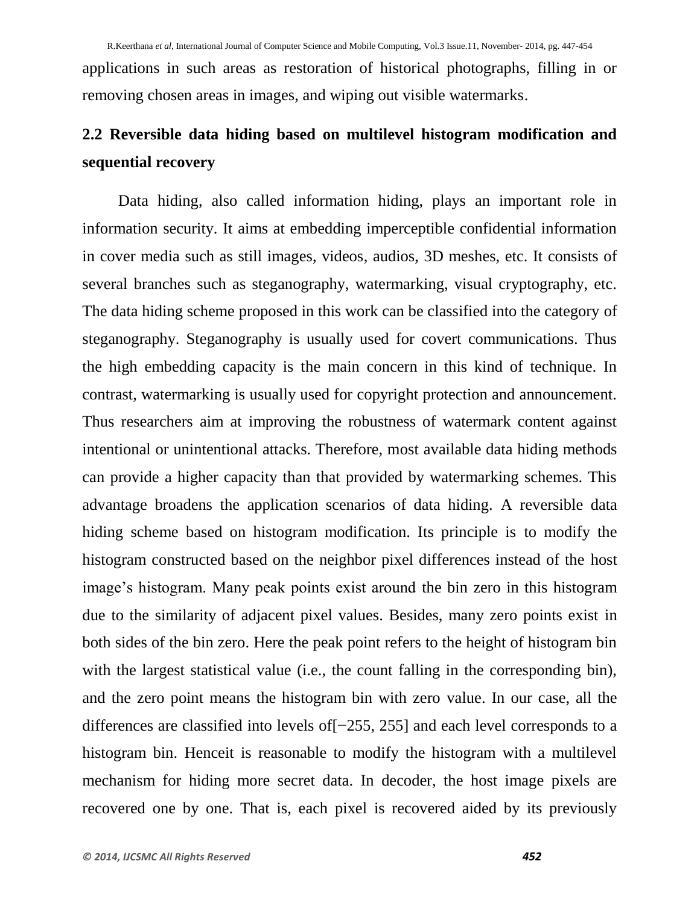applications in such areas as restoration of historical photographs, filling in or removing chosen areas in images, and wiping out visible watermarks.

# **2.2 Reversible data hiding based on multilevel histogram modification and sequential recovery**

Data hiding, also called information hiding, plays an important role in information security. It aims at embedding imperceptible confidential information in cover media such as still images, videos, audios, 3D meshes, etc. It consists of several branches such as steganography, watermarking, visual cryptography, etc. The data hiding scheme proposed in this work can be classified into the category of steganography. Steganography is usually used for covert communications. Thus the high embedding capacity is the main concern in this kind of technique. In contrast, watermarking is usually used for copyright protection and announcement. Thus researchers aim at improving the robustness of watermark content against intentional or unintentional attacks. Therefore, most available data hiding methods can provide a higher capacity than that provided by watermarking schemes. This advantage broadens the application scenarios of data hiding. A reversible data hiding scheme based on histogram modification. Its principle is to modify the histogram constructed based on the neighbor pixel differences instead of the host image's histogram. Many peak points exist around the bin zero in this histogram due to the similarity of adjacent pixel values. Besides, many zero points exist in both sides of the bin zero. Here the peak point refers to the height of histogram bin with the largest statistical value (i.e., the count falling in the corresponding bin), and the zero point means the histogram bin with zero value. In our case, all the differences are classified into levels of[−255, 255] and each level corresponds to a histogram bin. Henceit is reasonable to modify the histogram with a multilevel mechanism for hiding more secret data. In decoder, the host image pixels are recovered one by one. That is, each pixel is recovered aided by its previously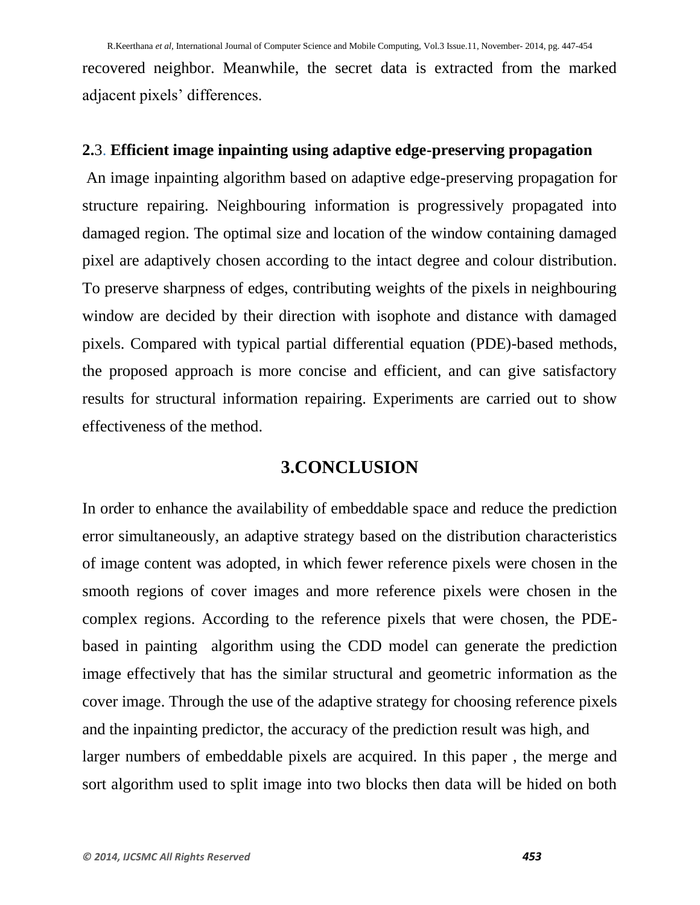recovered neighbor. Meanwhile, the secret data is extracted from the marked adjacent pixels' differences.

#### **2.**3. **Efficient image inpainting using adaptive edge-preserving propagation**

An image inpainting algorithm based on adaptive edge-preserving propagation for structure repairing. Neighbouring information is progressively propagated into damaged region. The optimal size and location of the window containing damaged pixel are adaptively chosen according to the intact degree and colour distribution. To preserve sharpness of edges, contributing weights of the pixels in neighbouring window are decided by their direction with isophote and distance with damaged pixels. Compared with typical partial differential equation (PDE)-based methods, the proposed approach is more concise and efficient, and can give satisfactory results for structural information repairing. Experiments are carried out to show effectiveness of the method.

# **3.CONCLUSION**

In order to enhance the availability of embeddable space and reduce the prediction error simultaneously, an adaptive strategy based on the distribution characteristics of image content was adopted, in which fewer reference pixels were chosen in the smooth regions of cover images and more reference pixels were chosen in the complex regions. According to the reference pixels that were chosen, the PDEbased in painting algorithm using the CDD model can generate the prediction image effectively that has the similar structural and geometric information as the cover image. Through the use of the adaptive strategy for choosing reference pixels and the inpainting predictor, the accuracy of the prediction result was high, and larger numbers of embeddable pixels are acquired. In this paper , the merge and sort algorithm used to split image into two blocks then data will be hided on both